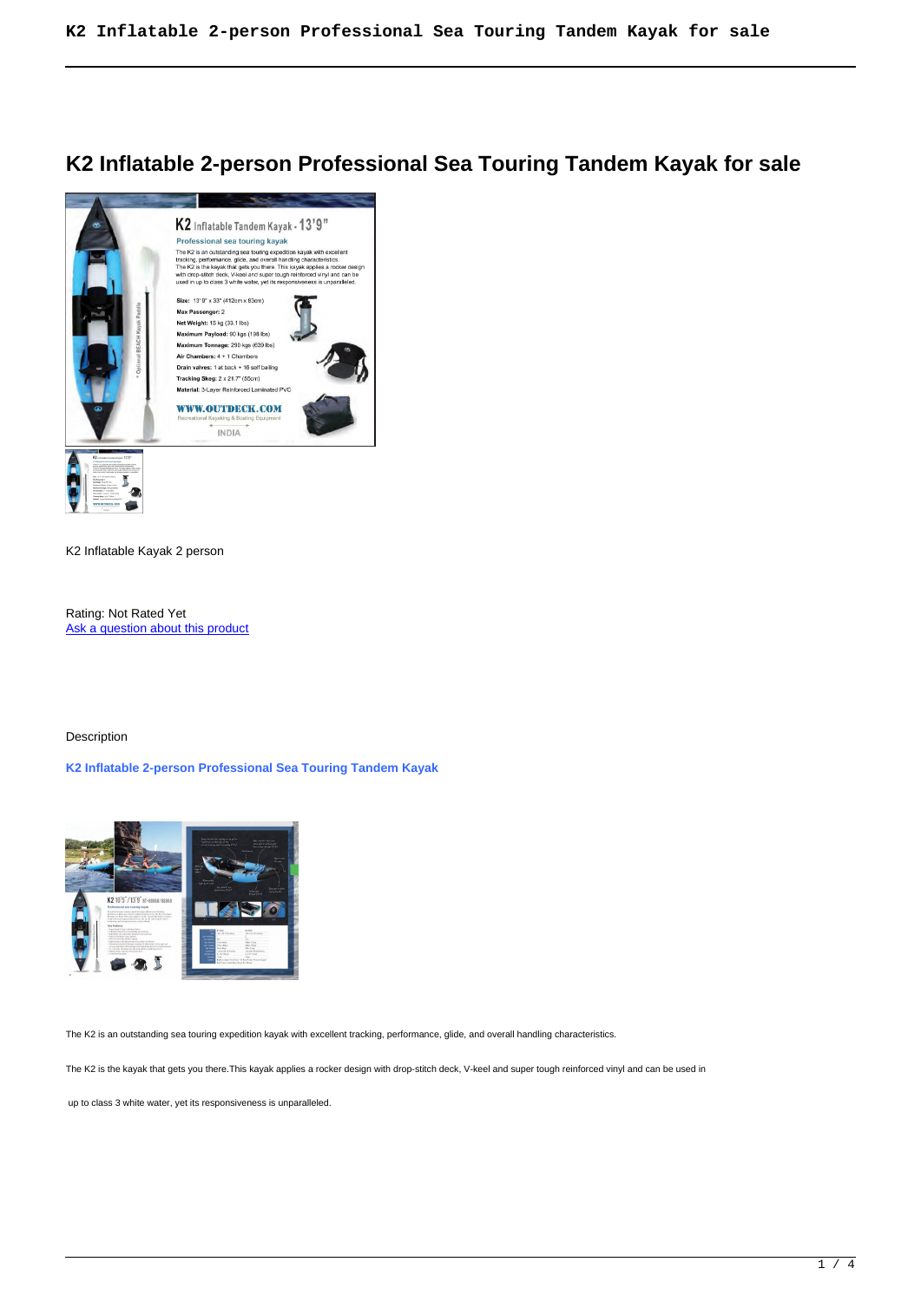# **K2 Inflatable 2-person Professional Sea Touring Tandem Kayak for sale**



K2 Inflatable Kayak 2 person

Rating: Not Rated Yet Ask a question about this product

## Description

# **K2 Inflatable 2-person Professional Sea Touring Tandem Kayak**



The K2 is an outstanding sea touring expedition kayak with excellent tracking, performance, glide, and overall handling characteristics.

The K2 is the kayak that gets you there.This kayak applies a rocker design with drop-stitch deck, V-keel and super tough reinforced vinyl and can be used in

up to class 3 white water, yet its responsiveness is unparalleled.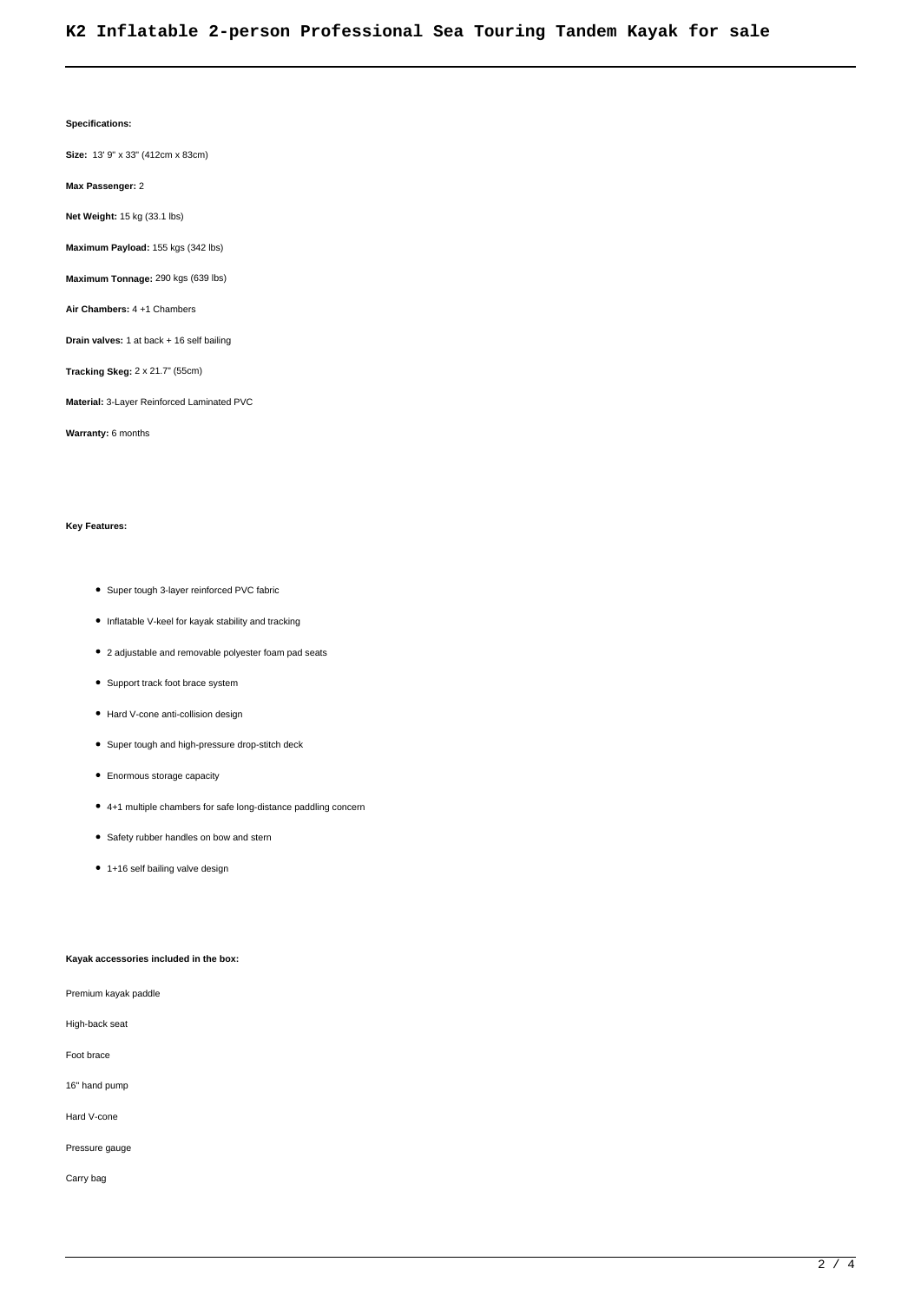#### **Specifications:**

**Size:** 13' 9" x 33" (412cm x 83cm)

**Max Passenger:** 2

**Net Weight:** 15 kg (33.1 lbs)

**Maximum Payload:** 155 kgs (342 lbs)

**Maximum Tonnage:** 290 kgs (639 lbs)

**Air Chambers:** 4 +1 Chambers

**Drain valves:** 1 at back + 16 self bailing

**Tracking Skeg:** 2 x 21.7" (55cm)

**Material:** 3-Layer Reinforced Laminated PVC

**Warranty:** 6 months

## **Key Features:**

- Super tough 3-layer reinforced PVC fabric
- Inflatable V-keel for kayak stability and tracking
- 2 adjustable and removable polyester foam pad seats
- Support track foot brace system
- Hard V-cone anti-collision design
- Super tough and high-pressure drop-stitch deck
- Enormous storage capacity
- 4+1 multiple chambers for safe long-distance paddling concern
- Safety rubber handles on bow and stern
- 1+16 self bailing valve design

## **Kayak accessories included in the box:**

Premium kayak paddle

High-back seat

Foot brace

16" hand pump

Hard V-cone

Pressure gauge

Carry bag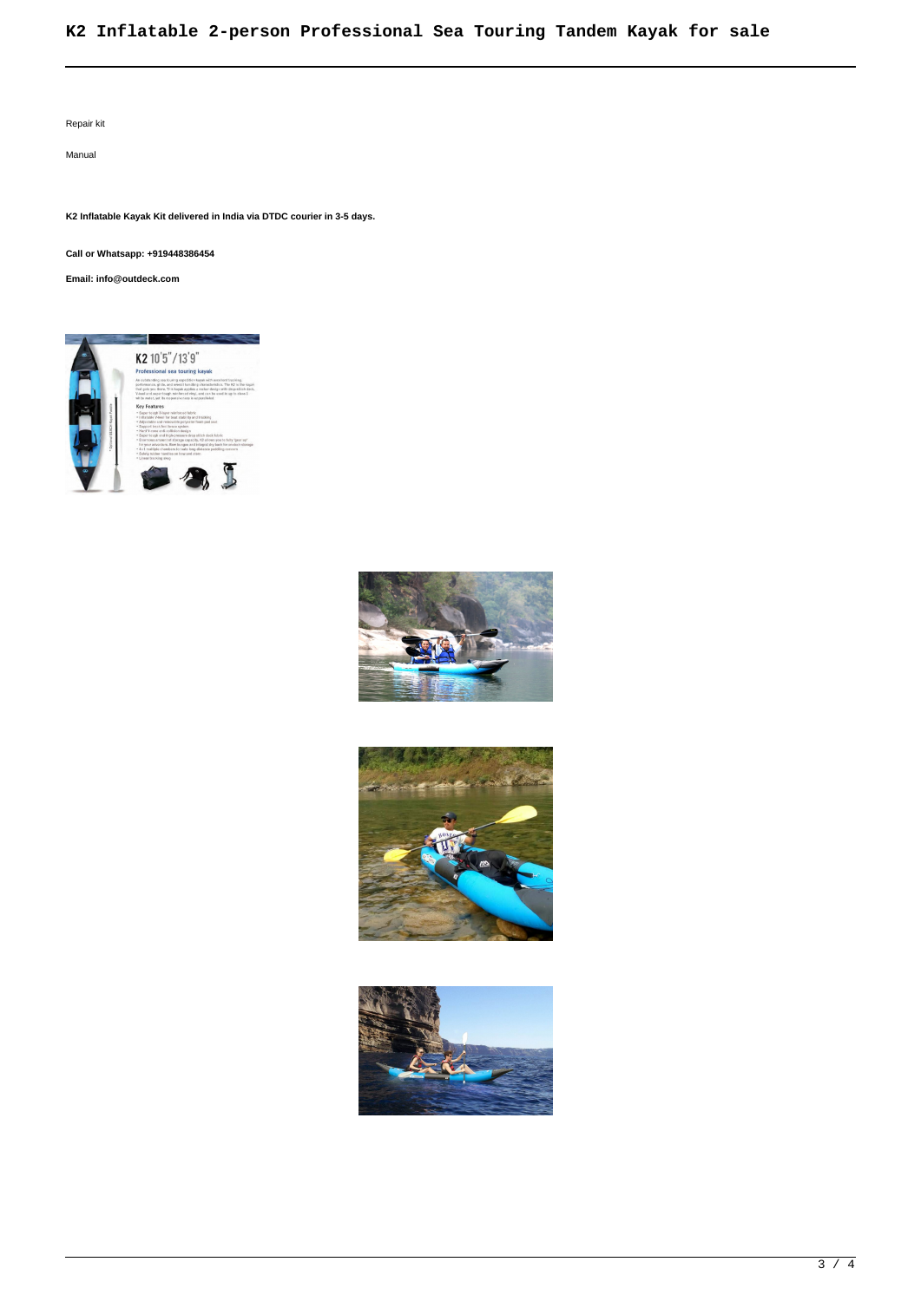# **K2 Inflatable 2-person Professional Sea Touring Tandem Kayak for sale**

Repair kit

Manual

**K2 Inflatable Kayak Kit delivered in India via DTDC courier in 3-5 days.**

**Call or Whatsapp: +919448386454**

**Email: info@outdeck.com**